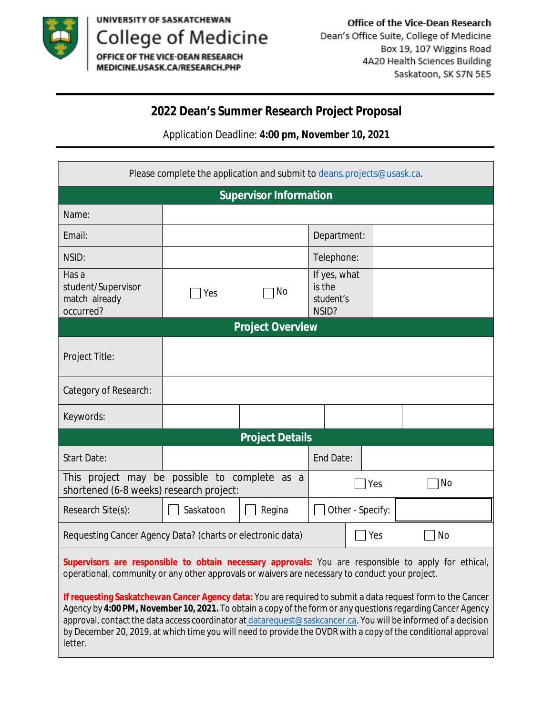

letter.

UNIVERSITY OF SASKATCHEWAN College of Medicine<br>OFFICE OF THE VICE-DEAN RESEARCH

MEDICINE.USASK.CA/RESEARCH.PHP

Office of the Vice-Dean Research Dean's Office Suite, College of Medicine Box 19, 107 Wiggins Road 4A20 Health Sciences Building Saskatoon, SK S7N 5E5

### **2022 Dean's Summer Research Project Proposal**

Application Deadline: **4:00 pm, November 10, 2021**

| Please complete the application and submit to deans.projects@usask.ca.                                                                                                                                                                                                                                                                                                                                                                                        |                  |           |                                              |  |  |
|---------------------------------------------------------------------------------------------------------------------------------------------------------------------------------------------------------------------------------------------------------------------------------------------------------------------------------------------------------------------------------------------------------------------------------------------------------------|------------------|-----------|----------------------------------------------|--|--|
| <b>Supervisor Information</b>                                                                                                                                                                                                                                                                                                                                                                                                                                 |                  |           |                                              |  |  |
| Name:                                                                                                                                                                                                                                                                                                                                                                                                                                                         |                  |           |                                              |  |  |
| Email:                                                                                                                                                                                                                                                                                                                                                                                                                                                        |                  |           | Department:                                  |  |  |
| NSID:                                                                                                                                                                                                                                                                                                                                                                                                                                                         |                  |           | <b>Telephone:</b>                            |  |  |
| Has a<br>student/Supervisor<br>match already<br>occurred?                                                                                                                                                                                                                                                                                                                                                                                                     | Yes              | <b>No</b> | If yes, what<br>is the<br>student's<br>NSID? |  |  |
| <b>Project Overview</b>                                                                                                                                                                                                                                                                                                                                                                                                                                       |                  |           |                                              |  |  |
| <b>Project Title:</b>                                                                                                                                                                                                                                                                                                                                                                                                                                         |                  |           |                                              |  |  |
| <b>Category of Research:</b>                                                                                                                                                                                                                                                                                                                                                                                                                                  |                  |           |                                              |  |  |
| Keywords:                                                                                                                                                                                                                                                                                                                                                                                                                                                     |                  |           |                                              |  |  |
| <b>Project Details</b>                                                                                                                                                                                                                                                                                                                                                                                                                                        |                  |           |                                              |  |  |
| <b>Start Date:</b>                                                                                                                                                                                                                                                                                                                                                                                                                                            |                  |           | <b>End Date:</b>                             |  |  |
| This project may be possible to complete as a<br>shortened (6-8 weeks) research project:                                                                                                                                                                                                                                                                                                                                                                      |                  | Yes       | No                                           |  |  |
| <b>Research Site(s):</b>                                                                                                                                                                                                                                                                                                                                                                                                                                      | <b>Saskatoon</b> | Regina    | <b>Other-Specify:</b>                        |  |  |
| <b>Tes</b><br>No<br><b>Requesting Cancer Agency Data? (charts or electronic data)</b>                                                                                                                                                                                                                                                                                                                                                                         |                  |           |                                              |  |  |
| Supervisors are responsible to obtain necessary approvals: You are responsible to apply for ethical,<br>operational, community or any other approvals or waivers are necessary to conduct your project.                                                                                                                                                                                                                                                       |                  |           |                                              |  |  |
| If requesting Saskatchewan Cancer Agency data: You are required to submit a data request form to the Cancer<br>Agency by 4:00 PM, November 10, 2021. To obtain a copy of the form or any questions regarding Cancer Agency<br>approval, contact the data access coordinator at datarequest@saskcancer.ca. You will be informed of a decision<br>by December 20, 2019, at which time you will need to provide the OVDR with a copy of the conditional approval |                  |           |                                              |  |  |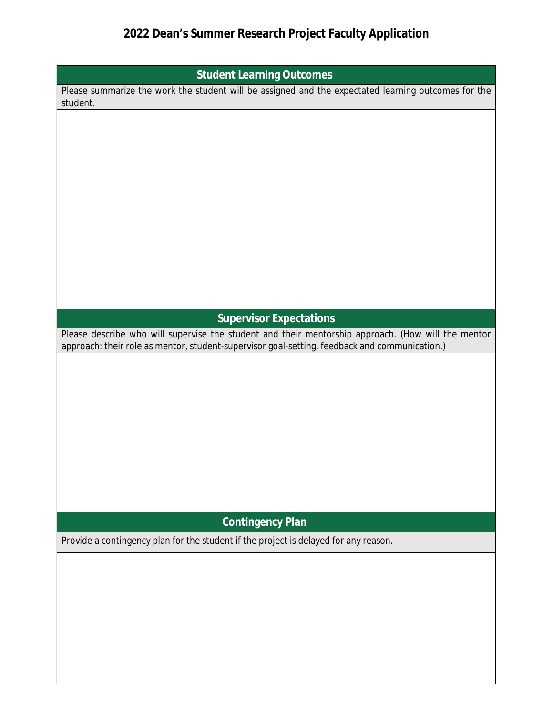# 2022 Dean's Summer Research Project Faculty Application

| <b>Student Learning Outcomes</b>                                                                                                                                                                    |  |  |  |
|-----------------------------------------------------------------------------------------------------------------------------------------------------------------------------------------------------|--|--|--|
| Please summarize the work the student will be assigned and the expectated learning outcomes for the<br>student.                                                                                     |  |  |  |
|                                                                                                                                                                                                     |  |  |  |
|                                                                                                                                                                                                     |  |  |  |
|                                                                                                                                                                                                     |  |  |  |
|                                                                                                                                                                                                     |  |  |  |
|                                                                                                                                                                                                     |  |  |  |
|                                                                                                                                                                                                     |  |  |  |
|                                                                                                                                                                                                     |  |  |  |
|                                                                                                                                                                                                     |  |  |  |
|                                                                                                                                                                                                     |  |  |  |
|                                                                                                                                                                                                     |  |  |  |
|                                                                                                                                                                                                     |  |  |  |
|                                                                                                                                                                                                     |  |  |  |
|                                                                                                                                                                                                     |  |  |  |
|                                                                                                                                                                                                     |  |  |  |
| <b>Supervisor Expectations</b>                                                                                                                                                                      |  |  |  |
| Please describe who will supervise the student and their mentorship approach. (How will the mentor<br>approach: their role as mentor, student-supervisor goal-setting, feedback and communication.) |  |  |  |
|                                                                                                                                                                                                     |  |  |  |
|                                                                                                                                                                                                     |  |  |  |
|                                                                                                                                                                                                     |  |  |  |
|                                                                                                                                                                                                     |  |  |  |
|                                                                                                                                                                                                     |  |  |  |
|                                                                                                                                                                                                     |  |  |  |
|                                                                                                                                                                                                     |  |  |  |
|                                                                                                                                                                                                     |  |  |  |
|                                                                                                                                                                                                     |  |  |  |
|                                                                                                                                                                                                     |  |  |  |
|                                                                                                                                                                                                     |  |  |  |
| <b>Contingency Plan</b>                                                                                                                                                                             |  |  |  |
| Provide a contingency plan for the student if the project is delayed for any reason.                                                                                                                |  |  |  |
|                                                                                                                                                                                                     |  |  |  |
|                                                                                                                                                                                                     |  |  |  |
|                                                                                                                                                                                                     |  |  |  |
|                                                                                                                                                                                                     |  |  |  |
|                                                                                                                                                                                                     |  |  |  |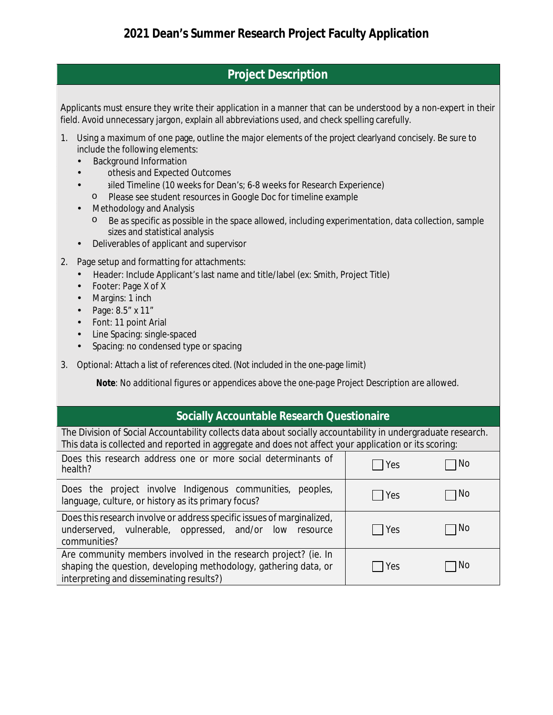#### **Project Description**

Applicants must ensure they write their application in a manner that can be understood by a non-expert in their field. Avoid unnecessary jargon, explain all abbreviations used, and check spelling carefully.

- 1. Using a maximum of one page, outline the major elements of the project clearlyand concisely. Be sure to include the following elements:
	- **Background Information**  $\bullet$
	- othesis and Expected Outcomes
	- illed Timeline (10 weeks for Dean's; 6-8 weeks for Research Experience)
	- Please see student resources in Google Doc for timeline example  $\circ$
	- **Methodology and Analysis**  $\bullet$ 
		- $\circ$  Be as specific as possible in the space allowed, including experimentation, data collection, sample sizes and statistical analysis
	- Deliverables of applicant and supervisor  $\bullet$
- 2. Page setup and formatting for attachments:
	- Header: Include Applicant's last name and title/label (ex: Smith, Project Title)
	- **Footer: Page X of X**  $\bullet$
	- Margins: 1 inch
	- Page: 8.5" x 11"
	- Font: 11 point Arial
	- Line Spacing: single-spaced  $\bullet$
	- Spacing: no condensed type or spacing  $\bullet$
- 3. Optional: Attach a list of references cited. (Not included in the one-page limit)

Note: No additional figures or appendices above the one-page Project Description are allowed.

#### **Socially Accountable Research Questionaire**

The Division of Social Accountability collects data about socially accountability in undergraduate research. This data is collected and reported in aggregate and does not affect your application or its scoring:

| Does this research address one or more social determinants of<br>health?                                                                                                        | Yes | N0   |
|---------------------------------------------------------------------------------------------------------------------------------------------------------------------------------|-----|------|
| Does the project involve Indigenous communities, peoples,<br>language, culture, or history as its primary focus?                                                                | Yes | N0   |
| Does this research involve or address specific issues of marginalized,<br>underserved, vulnerable, oppressed, and/or low resource<br>communities?                               | Yes | l No |
| Are community members involved in the research project? (ie. In<br>shaping the question, developing methodology, gathering data, or<br>interpreting and disseminating results?) | Yes | No   |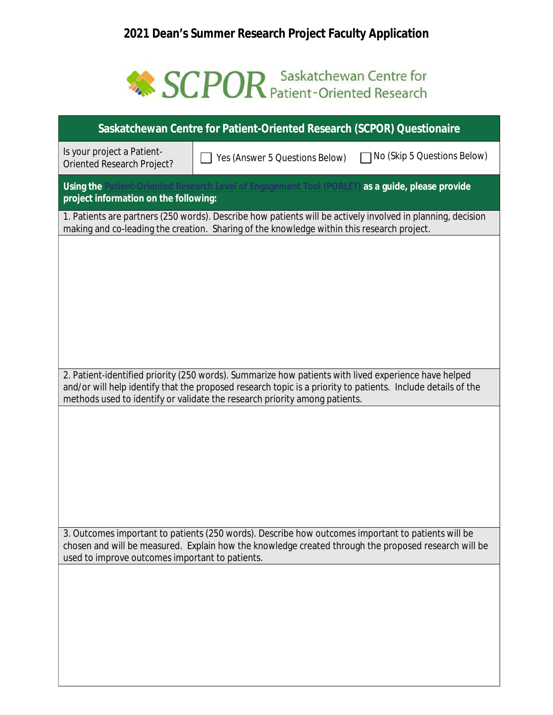## 2021 Dean's Summer Research Project Faculty Application

# SCPOR Saskatchewan Centre for

| <b>Saskatchewan Centre for Patient-Oriented Research (SCPOR) Questionaire</b>                                                                                                                                        |                                                                                                      |                                    |  |  |  |
|----------------------------------------------------------------------------------------------------------------------------------------------------------------------------------------------------------------------|------------------------------------------------------------------------------------------------------|------------------------------------|--|--|--|
| Is your project a Patient-<br><b>Oriented Research Project?</b>                                                                                                                                                      | <b>Yes (Answer 5 Questions Below)</b>                                                                | <b>No (Skip 5 Questions Below)</b> |  |  |  |
| ttient-Oriented Research Level of Engagement Tool (PORLET) as a guide, please provide<br><b>Using the</b><br>project information on the following:                                                                   |                                                                                                      |                                    |  |  |  |
| 1. Patients are partners (250 words). Describe how patients will be actively involved in planning, decision<br>making and co-leading the creation. Sharing of the knowledge within this research project.            |                                                                                                      |                                    |  |  |  |
|                                                                                                                                                                                                                      |                                                                                                      |                                    |  |  |  |
|                                                                                                                                                                                                                      |                                                                                                      |                                    |  |  |  |
|                                                                                                                                                                                                                      |                                                                                                      |                                    |  |  |  |
|                                                                                                                                                                                                                      |                                                                                                      |                                    |  |  |  |
|                                                                                                                                                                                                                      |                                                                                                      |                                    |  |  |  |
| 2. Patient-identified priority (250 words). Summarize how patients with lived experience have helped<br>and/or will help identify that the proposed research topic is a priority to patients. Include details of the |                                                                                                      |                                    |  |  |  |
| methods used to identify or validate the research priority among patients.                                                                                                                                           |                                                                                                      |                                    |  |  |  |
|                                                                                                                                                                                                                      |                                                                                                      |                                    |  |  |  |
|                                                                                                                                                                                                                      |                                                                                                      |                                    |  |  |  |
|                                                                                                                                                                                                                      |                                                                                                      |                                    |  |  |  |
|                                                                                                                                                                                                                      |                                                                                                      |                                    |  |  |  |
|                                                                                                                                                                                                                      | 3. Outcomes important to patients (250 words). Describe how outcomes important to patients will be   |                                    |  |  |  |
| used to improve outcomes important to patients.                                                                                                                                                                      | chosen and will be measured. Explain how the knowledge created through the proposed research will be |                                    |  |  |  |
|                                                                                                                                                                                                                      |                                                                                                      |                                    |  |  |  |
|                                                                                                                                                                                                                      |                                                                                                      |                                    |  |  |  |
|                                                                                                                                                                                                                      |                                                                                                      |                                    |  |  |  |
|                                                                                                                                                                                                                      |                                                                                                      |                                    |  |  |  |
|                                                                                                                                                                                                                      |                                                                                                      |                                    |  |  |  |